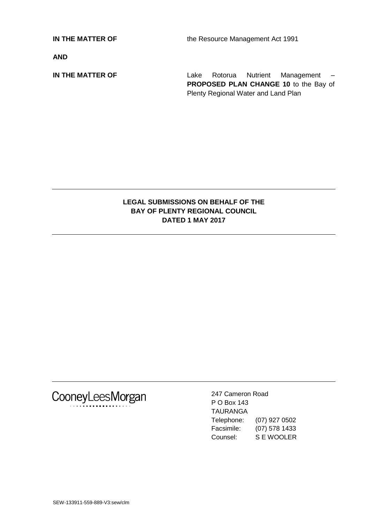**IN THE MATTER OF** the Resource Management Act 1991

**AND**

**IN THE MATTER OF THE SET ALL AREA Rotorua** Nutrient Management – **PROPOSED PLAN CHANGE 10** to the Bay of Plenty Regional Water and Land Plan

# **LEGAL SUBMISSIONS ON BEHALF OF THE BAY OF PLENTY REGIONAL COUNCIL DATED 1 MAY 2017**



247 Cameron Road P O Box 143 TAURANGA Telephone: (07) 927 0502 Facsimile: (07) 578 1433 Counsel: S E WOOLER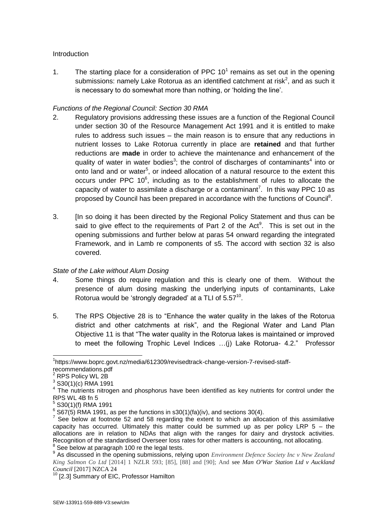### **Introduction**

1. The starting place for a consideration of PPC  $10<sup>1</sup>$  remains as set out in the opening submissions: namely Lake Rotorua as an identified catchment at risk<sup>2</sup>, and as such it is necessary to do somewhat more than nothing, or 'holding the line'.

### *Functions of the Regional Council: Section 30 RMA*

- 2. Regulatory provisions addressing these issues are a function of the Regional Council under section 30 of the Resource Management Act 1991 and it is entitled to make rules to address such issues – the main reason is to ensure that any reductions in nutrient losses to Lake Rotorua currently in place are **retained** and that further reductions are **made** in order to achieve the maintenance and enhancement of the quality of water in water bodies<sup>3</sup>; the control of discharges of contaminants<sup>4</sup> into or onto land and or water<sup>5</sup>, or indeed allocation of a natural resource to the extent this occurs under PPC  $10^6$ , including as to the establishment of rules to allocate the capacity of water to assimilate a discharge or a contaminant<sup>7</sup>. In this way PPC 10 as proposed by Council has been prepared in accordance with the functions of Council<sup>8</sup>.
- 3. [In so doing it has been directed by the Regional Policy Statement and thus can be said to give effect to the requirements of Part 2 of the Act<sup>9</sup>. This is set out in the opening submissions and further below at paras 54 onward regarding the integrated Framework, and in Lamb re components of s5. The accord with section 32 is also covered.

### *State of the Lake without Alum Dosing*

- 4. Some things do require regulation and this is clearly one of them. Without the presence of alum dosing masking the underlying inputs of contaminants, Lake Rotorua would be 'strongly degraded' at a TLI of  $5.57^{10}$ .
- 5. The RPS Objective 28 is to "Enhance the water quality in the lakes of the Rotorua district and other catchments at risk", and the Regional Water and Land Plan Objective 11 is that "The water quality in the Rotorua lakes is maintained or improved to meet the following Trophic Level Indices …(j) Lake Rotorua- 4.2." Professor

 $\overline{\phantom{a}}$ <sup>1</sup>https://www.boprc.govt.nz/media/612309/revisedtrack-change-version-7-revised-staffrecommendations.pdf

<sup>&</sup>lt;sup>2</sup> RPS Policy WL 2B

<sup>3</sup> S30(1)(c) RMA 1991

<sup>&</sup>lt;sup>4</sup> The nutrients nitrogen and phosphorus have been identified as key nutrients for control under the RPS WL 4B fn 5

<sup>5</sup> S30(1)(f) RMA 1991

 $6$  S67(5) RMA 1991, as per the functions in s30(1)(fa)(iv), and sections 30(4).

 $7$  See below at footnote 52 and 58 regarding the extent to which an allocation of this assimilative capacity has occurred. Ultimately this matter could be summed up as per policy LRP  $5 -$  the allocations are in relation to NDAs that align with the ranges for dairy and drystock activities. Recognition of the standardised Overseer loss rates for other matters is accounting, not allocating.  $8$  See below at paragraph 100 re the legal tests.

<sup>9</sup> As discussed in the opening submissions, relying upon *Environment Defence Society Inc v New Zealand King Salmon Co Ltd* [2014] 1 NZLR 593; [85], [88] and [90]; And see *[Man O'War Station Ltd v Auckland](http://www.westlaw.co.nz/maf/wlnz/app/document?docguid=I36b3da00ff0311e6bba781ab9cb8ca43&&src=rl&hitguid=I34c1f511ff0311e6bba781ab9cb8ca43&snippets=true&startChunk=1&endChunk=1&isTocNav=true&tocDs=AUNZ_CASE_TOC#anchor_I34c1f511ff0311e6bba781ab9cb8ca43)  [Council](http://www.westlaw.co.nz/maf/wlnz/app/document?docguid=I36b3da00ff0311e6bba781ab9cb8ca43&&src=rl&hitguid=I34c1f511ff0311e6bba781ab9cb8ca43&snippets=true&startChunk=1&endChunk=1&isTocNav=true&tocDs=AUNZ_CASE_TOC#anchor_I34c1f511ff0311e6bba781ab9cb8ca43)* [\[2017\] NZCA 24](http://www.westlaw.co.nz/maf/wlnz/app/document?docguid=I5e89ca00ff6f11e6bba781ab9cb8ca43&&src=doc&snippets=true&startChunk=1&endChunk=1&isTocNav=true&tocDs=AUNZ_CASE_TOC#anchor_I34c1f512ff0311e6bba781ab9cb8ca43)

<sup>&</sup>lt;sup>10</sup> [2.3] Summary of EIC, Professor Hamilton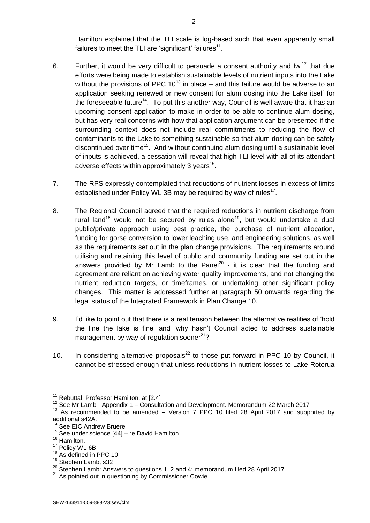Hamilton explained that the TLI scale is log-based such that even apparently small failures to meet the TLI are 'significant' failures $^{11}$ .

- 6. Further, it would be very difficult to persuade a consent authority and Iwi<sup>12</sup> that due efforts were being made to establish sustainable levels of nutrient inputs into the Lake without the provisions of PPC  $10^{13}$  in place – and this failure would be adverse to an application seeking renewed or new consent for alum dosing into the Lake itself for the foreseeable future<sup>14</sup>. To put this another way, Council is well aware that it has an upcoming consent application to make in order to be able to continue alum dosing, but has very real concerns with how that application argument can be presented if the surrounding context does not include real commitments to reducing the flow of contaminants to the Lake to something sustainable so that alum dosing can be safely discontinued over time<sup>15</sup>. And without continuing alum dosing until a sustainable level of inputs is achieved, a cessation will reveal that high TLI level with all of its attendant adverse effects within approximately 3 years<sup>16</sup>.
- 7. The RPS expressly contemplated that reductions of nutrient losses in excess of limits established under Policy WL 3B may be required by way of rules<sup>17</sup>.
- 8. The Regional Council agreed that the required reductions in nutrient discharge from rural land<sup>18</sup> would not be secured by rules alone<sup>19</sup>, but would undertake a dual public/private approach using best practice, the purchase of nutrient allocation, funding for gorse conversion to lower leaching use, and engineering solutions, as well as the requirements set out in the plan change provisions. The requirements around utilising and retaining this level of public and community funding are set out in the answers provided by Mr Lamb to the Panel<sup>20</sup> - it is clear that the funding and agreement are reliant on achieving water quality improvements, and not changing the nutrient reduction targets, or timeframes, or undertaking other significant policy changes. This matter is addressed further at paragraph 50 onwards regarding the legal status of the Integrated Framework in Plan Change 10.
- 9. I'd like to point out that there is a real tension between the alternative realities of 'hold the line the lake is fine' and 'why hasn't Council acted to address sustainable management by way of regulation sooner $21$ ?'
- 10. In considering alternative proposals<sup>22</sup> to those put forward in PPC 10 by Council, it cannot be stressed enough that unless reductions in nutrient losses to Lake Rotorua

 $\overline{1}$ 

 $11$  Rebuttal, Professor Hamilton, at [2.4]

<sup>12</sup> See Mr Lamb - Appendix 1 – Consultation and Development. Memorandum 22 March 2017

<sup>&</sup>lt;sup>13</sup> As recommended to be amended – Version 7 PPC 10 filed 28 April 2017 and supported by additional s42A.

See EIC Andrew Bruere

 $15$  See under science  $[44]$  – re David Hamilton

<sup>&</sup>lt;sup>16</sup> Hamilton.

<sup>&</sup>lt;sup>17</sup> Policy WL 6B

<sup>&</sup>lt;sup>18</sup> As defined in PPC 10.

<sup>&</sup>lt;sup>19</sup> Stephen Lamb, s32

<sup>&</sup>lt;sup>20</sup> Stephen Lamb: Answers to questions 1, 2 and 4: memorandum filed 28 April 2017

<sup>&</sup>lt;sup>21</sup> As pointed out in questioning by Commissioner Cowie.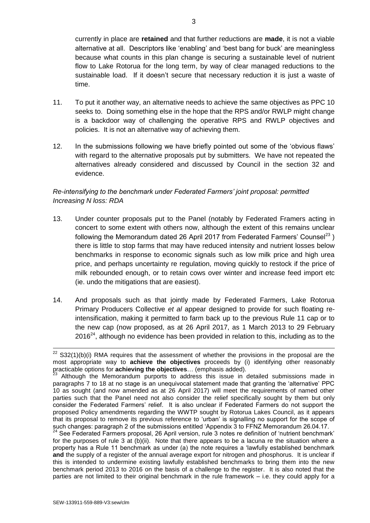currently in place are **retained** and that further reductions are **made**, it is not a viable alternative at all. Descriptors like 'enabling' and 'best bang for buck' are meaningless because what counts in this plan change is securing a sustainable level of nutrient flow to Lake Rotorua for the long term, by way of clear managed reductions to the sustainable load. If it doesn't secure that necessary reduction it is just a waste of time.

- 11. To put it another way, an alternative needs to achieve the same objectives as PPC 10 seeks to. Doing something else in the hope that the RPS and/or RWLP might change is a backdoor way of challenging the operative RPS and RWLP objectives and policies. It is not an alternative way of achieving them.
- 12. In the submissions following we have briefly pointed out some of the 'obvious flaws' with regard to the alternative proposals put by submitters. We have not repeated the alternatives already considered and discussed by Council in the section 32 and evidence.

# *Re-intensifying to the benchmark under Federated Farmers' joint proposal: permitted Increasing N loss: RDA*

- 13. Under counter proposals put to the Panel (notably by Federated Framers acting in concert to some extent with others now, although the extent of this remains unclear following the Memorandum dated 26 April 2017 from Federated Farmers' Counsel<sup>23</sup>) there is little to stop farms that may have reduced intensity and nutrient losses below benchmarks in response to economic signals such as low milk price and high urea price, and perhaps uncertainty re regulation, moving quickly to restock if the price of milk rebounded enough, or to retain cows over winter and increase feed import etc (ie. undo the mitigations that are easiest).
- 14. And proposals such as that jointly made by Federated Farmers, Lake Rotorua Primary Producers Collective *et al* appear designed to provide for such floating reintensification, making it permitted to farm back up to the previous Rule 11 cap or to the new cap (now proposed, as at 26 April 2017, as 1 March 2013 to 29 February  $2016<sup>24</sup>$ , although no evidence has been provided in relation to this, including as to the

<sup>24</sup> See Federated Farmers proposal, 26 April version, rule 3 notes re definition of 'nutrient benchmark' for the purposes of rule 3 at (b)(ii). Note that there appears to be a lacuna re the situation where a property has a Rule 11 benchmark as under (a) the note requires a 'lawfully established benchmark **and** the supply of a register of the annual average export for nitrogen and phosphorus. It is unclear if this is intended to undermine existing lawfully established benchmarks to bring them into the new benchmark period 2013 to 2016 on the basis of a challenge to the register. It is also noted that the parties are not limited to their original benchmark in the rule framework – i.e. they could apply for a

 $\overline{\phantom{a}}$ 

 $22$  S32(1)(b)(i) RMA requires that the assessment of whether the provisions in the proposal are the most appropriate way to **achieve the objectives** proceeds by (i) identifying other reasonably practicable options for **achieving the objectives**… (emphasis added).

 $3$  Although the Memorandum purports to address this issue in detailed submissions made in paragraphs 7 to 18 at no stage is an unequivocal statement made that granting the 'alternative' PPC 10 as sought (and now amended as at 26 April 2017) will meet the requirements of named other parties such that the Panel need not also consider the relief specifically sought by them but only consider the Federated Farmers' relief. It is also unclear if Federated Farmers do not support the proposed Policy amendments regarding the WWTP sought by Rotorua Lakes Council, as it appears that its proposal to remove its previous reference to 'urban' is signalling no support for the scope of such changes: paragraph 2 of the submissions entitled 'Appendix 3 to FFNZ Memorandum 26.04.17.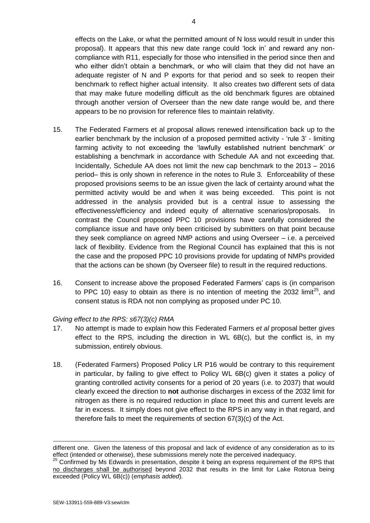effects on the Lake, or what the permitted amount of N loss would result in under this proposal). It appears that this new date range could 'lock in' and reward any noncompliance with R11, especially for those who intensified in the period since then and who either didn't obtain a benchmark, or who will claim that they did not have an adequate register of N and P exports for that period and so seek to reopen their benchmark to reflect higher actual intensity. It also creates two different sets of data that may make future modelling difficult as the old benchmark figures are obtained through another version of Overseer than the new date range would be, and there appears to be no provision for reference files to maintain relativity.

- 15. The Federated Farmers et al proposal allows renewed intensification back up to the earlier benchmark by the inclusion of a proposed permitted activity - 'rule 3' - limiting farming activity to not exceeding the 'lawfully established nutrient benchmark' *or* establishing a benchmark in accordance with Schedule AA and not exceeding that. Incidentally, Schedule AA does not limit the new cap benchmark to the 2013 – 2016 period– this is only shown in reference in the notes to Rule 3. Enforceability of these proposed provisions seems to be an issue given the lack of certainty around what the permitted activity would be and when it was being exceeded. This point is not addressed in the analysis provided but is a central issue to assessing the effectiveness/efficiency and indeed equity of alternative scenarios/proposals. In contrast the Council proposed PPC 10 provisions have carefully considered the compliance issue and have only been criticised by submitters on that point because they seek compliance on agreed NMP actions and using Overseer – i.e. a perceived lack of flexibility. Evidence from the Regional Council has explained that this is not the case and the proposed PPC 10 provisions provide for updating of NMPs provided that the actions can be shown (by Overseer file) to result in the required reductions.
- 16. Consent to increase above the proposed Federated Farmers' caps is (in comparison to PPC 10) easy to obtain as there is no intention of meeting the 2032 limit<sup>25</sup>, and consent status is RDA not non complying as proposed under PC 10.

### *Giving effect to the RPS: s67(3)(c) RMA*

- 17. No attempt is made to explain how this Federated Farmers *et al* proposal better gives effect to the RPS, including the direction in WL 6B(c), but the conflict is, in my submission, entirely obvious.
- 18. (Federated Farmers) Proposed Policy LR P16 would be contrary to this requirement in particular, by failing to give effect to Policy WL 6B(c) given it states a policy of granting controlled activity consents for a period of 20 years (i.e. to 2037) that would clearly exceed the direction to **not** authorise discharges in excess of the 2032 limit for nitrogen as there is no required reduction in place to meet this and current levels are far in excess. It simply does not give effect to the RPS in any way in that regard, and therefore fails to meet the requirements of section 67(3)(c) of the Act.

different one. Given the lateness of this proposal and lack of evidence of any consideration as to its effect (intended or otherwise), these submissions merely note the perceived inadequacy.

 $25$  Confirmed by Ms Edwards in presentation, despite it being an express requirement of the RPS that no discharges shall be authorised beyond 2032 that results in the limit for Lake Rotorua being exceeded (Policy WL 6B(c)) (*emphasis added*).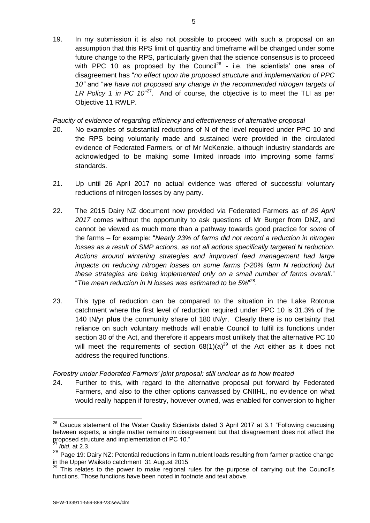19. In my submission it is also not possible to proceed with such a proposal on an assumption that this RPS limit of quantity and timeframe will be changed under some future change to the RPS, particularly given that the science consensus is to proceed with PPC 10 as proposed by the Council<sup>26</sup> - i.e. the scientists' one area of disagreement has "*no effect upon the proposed structure and implementation of PPC 10"* and "*we have not proposed any change in the recommended nitrogen targets of*  LR Policy 1 in PC 10<sup>"27</sup>. And of course, the objective is to meet the TLI as per Objective 11 RWLP.

### *Paucity of evidence of regarding efficiency and effectiveness of alternative proposal*

- 20. No examples of substantial reductions of N of the level required under PPC 10 and the RPS being voluntarily made and sustained were provided in the circulated evidence of Federated Farmers, or of Mr McKenzie, although industry standards are acknowledged to be making some limited inroads into improving some farms' standards.
- 21. Up until 26 April 2017 no actual evidence was offered of successful voluntary reductions of nitrogen losses by any party.
- 22. The 2015 Dairy NZ document now provided via Federated Farmers *as of 26 April 2017* comes without the opportunity to ask questions of Mr Burger from DNZ, and cannot be viewed as much more than a pathway towards good practice for *some* of the farms – for example: "*Nearly 23% of farms did not record a reduction in nitrogen losses as a result of SMP actions, as not all actions specifically targeted N reduction. Actions around wintering strategies and improved feed management had large impacts on reducing nitrogen losses on some farms (>20% farm N reduction) but these strategies are being implemented only on a small number of farms overall*." "*The mean reduction in N losses was estimated to be 5%*" 28 .
- 23. This type of reduction can be compared to the situation in the Lake Rotorua catchment where the first level of reduction required under PPC 10 is 31.3% of the 140 tN/yr **plus** the community share of 180 tN/yr. Clearly there is no certainty that reliance on such voluntary methods will enable Council to fulfil its functions under section 30 of the Act, and therefore it appears most unlikely that the alternative PC 10 will meet the requirements of section  $68(1)(a)^{29}$  of the Act either as it does not address the required functions.

## *Forestry under Federated Farmers' joint proposal: still unclear as to how treated*

24. Further to this, with regard to the alternative proposal put forward by Federated Farmers, and also to the other options canvassed by CNIIHL, no evidence on what would really happen if forestry, however owned, was enabled for conversion to higher

 $\overline{\phantom{a}}$  $26$  Caucus statement of the Water Quality Scientists dated 3 April 2017 at 3.1 "Following caucusing between experts, a single matter remains in disagreement but that disagreement does not affect the proposed structure and implementation of PC 10."

*Ibid, at 2.3.* 

<sup>28</sup> Page 19: Dairy NZ: Potential reductions in farm nutrient loads resulting from farmer practice change in the Upper Waikato catchment 31 August 2015

<sup>29</sup> This relates to the power to make regional rules for the purpose of carrying out the Council's functions. Those functions have been noted in footnote and text above.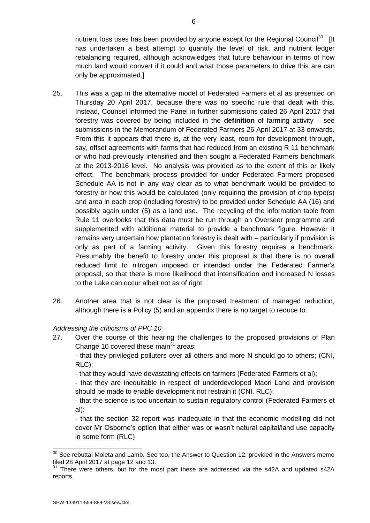nutrient loss uses has been provided by anyone except for the Regional Council<sup>30</sup>. [It has undertaken a best attempt to quantify the level of risk, and nutrient ledger rebalancing required, although acknowledges that future behaviour in terms of how much land would convert if it could and what those parameters to drive this are can only be approximated.]

- 25. This was a gap in the alternative model of Federated Farmers et al as presented on Thursday 20 April 2017, because there was no specific rule that dealt with this. Instead, Counsel informed the Panel in further submissions dated 26 April 2017 that forestry was covered by being included in the **definition** of farming activity – see submissions in the Memorandum of Federated Farmers 26 April 2017 at 33 onwards. From this it appears that there is, at the very least, room for development through, say, offset agreements with farms that had reduced from an existing R 11 benchmark or who had previously intensified and then sought a Federated Farmers benchmark at the 2013-2016 level. No analysis was provided as to the extent of this or likely effect. The benchmark process provided for under Federated Farmers proposed Schedule AA is not in any way clear as to what benchmark would be provided to forestry or how this would be calculated (only requiring the provision of crop type(s) and area in each crop (including forestry) to be provided under Schedule AA (16) and possibly again under (5) as a land use. The recycling of the information table from Rule 11 overlooks that this data must be run through an Overseer programme and supplemented with additional material to provide a benchmark figure. However it remains very uncertain how plantation forestry is dealt with – particularly if provision is only as part of a farming activity. Given this forestry requires a benchmark. Presumably the benefit to forestry under this proposal is that there is no overall reduced limit to nitrogen imposed or intended under the Federated Farmer's proposal, so that there is more likelihood that intensification and increased N losses to the Lake can occur albeit not as of right.
- 26. Another area that is not clear is the proposed treatment of managed reduction, although there is a Policy (5) and an appendix there is no target to reduce to.

### *Addressing the criticisms of PPC 10*

27. Over the course of this hearing the challenges to the proposed provisions of Plan Change 10 covered these main $31$  areas:

- that they privileged polluters over all others and more N should go to others; (CNI, RLC);

- that they would have devastating effects on farmers (Federated Farmers et al);

- that they are inequitable in respect of underdeveloped Maori Land and provision should be made to enable development not restrain it (CNI, RLC);

- that the science is too uncertain to sustain regulatory control (Federated Farmers et al);

- that the section 32 report was inadequate in that the economic modelling did not cover Mr Osborne's option that either was or wasn't natural capital/land use capacity in some form (RLC)

<sup>1</sup>  $30$  See rebuttal Moleta and Lamb. See too, the Answer to Question 12, provided in the Answers memo filed 28 April 2017 at page 12 and 13.

<sup>31</sup> There were others, but for the most part these are addressed via the s42A and updated s42A reports.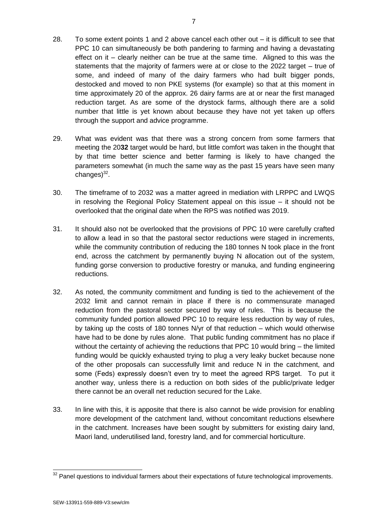- 28. To some extent points 1 and 2 above cancel each other out it is difficult to see that PPC 10 can simultaneously be both pandering to farming and having a devastating effect on it – clearly neither can be true at the same time. Aligned to this was the statements that the majority of farmers were at or close to the 2022 target – true of some, and indeed of many of the dairy farmers who had built bigger ponds, destocked and moved to non PKE systems (for example) so that at this moment in time approximately 20 of the approx. 26 dairy farms are at or near the first managed reduction target. As are some of the drystock farms, although there are a solid number that little is yet known about because they have not yet taken up offers through the support and advice programme.
- 29. What was evident was that there was a strong concern from some farmers that meeting the 20**32** target would be hard, but little comfort was taken in the thought that by that time better science and better farming is likely to have changed the parameters somewhat (in much the same way as the past 15 years have seen many changes) $^{32}$ .
- 30. The timeframe of to 2032 was a matter agreed in mediation with LRPPC and LWQS in resolving the Regional Policy Statement appeal on this issue – it should not be overlooked that the original date when the RPS was notified was 2019.
- 31. It should also not be overlooked that the provisions of PPC 10 were carefully crafted to allow a lead in so that the pastoral sector reductions were staged in increments, while the community contribution of reducing the 180 tonnes N took place in the front end, across the catchment by permanently buying N allocation out of the system, funding gorse conversion to productive forestry or manuka, and funding engineering reductions.
- 32. As noted, the community commitment and funding is tied to the achievement of the 2032 limit and cannot remain in place if there is no commensurate managed reduction from the pastoral sector secured by way of rules. This is because the community funded portion allowed PPC 10 to require less reduction by way of rules, by taking up the costs of 180 tonnes N/yr of that reduction – which would otherwise have had to be done by rules alone. That public funding commitment has no place if without the certainty of achieving the reductions that PPC 10 would bring – the limited funding would be quickly exhausted trying to plug a very leaky bucket because none of the other proposals can successfully limit and reduce N in the catchment, and some (Feds) expressly doesn't even try to meet the agreed RPS target. To put it another way, unless there is a reduction on both sides of the public/private ledger there cannot be an overall net reduction secured for the Lake.
- 33. In line with this, it is apposite that there is also cannot be wide provision for enabling more development of the catchment land, without concomitant reductions elsewhere in the catchment. Increases have been sought by submitters for existing dairy land, Maori land, underutilised land, forestry land, and for commercial horticulture.

1

 $32$  Panel questions to individual farmers about their expectations of future technological improvements.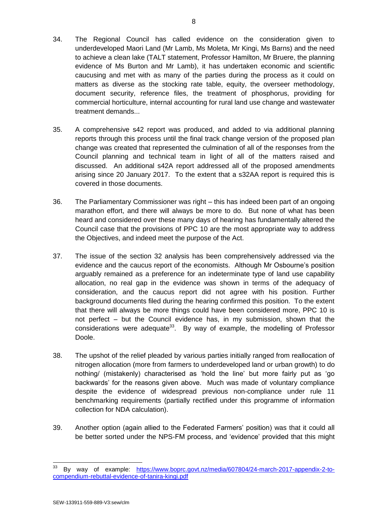- 34. The Regional Council has called evidence on the consideration given to underdeveloped Maori Land (Mr Lamb, Ms Moleta, Mr Kingi, Ms Barns) and the need to achieve a clean lake (TALT statement, Professor Hamilton, Mr Bruere, the planning evidence of Ms Burton and Mr Lamb), it has undertaken economic and scientific caucusing and met with as many of the parties during the process as it could on matters as diverse as the stocking rate table, equity, the overseer methodology, document security, reference files, the treatment of phosphorus, providing for commercial horticulture, internal accounting for rural land use change and wastewater treatment demands...
- 35. A comprehensive s42 report was produced, and added to via additional planning reports through this process until the final track change version of the proposed plan change was created that represented the culmination of all of the responses from the Council planning and technical team in light of all of the matters raised and discussed. An additional s42A report addressed all of the proposed amendments arising since 20 January 2017. To the extent that a s32AA report is required this is covered in those documents.
- 36. The Parliamentary Commissioner was right this has indeed been part of an ongoing marathon effort, and there will always be more to do. But none of what has been heard and considered over these many days of hearing has fundamentally altered the Council case that the provisions of PPC 10 are the most appropriate way to address the Objectives, and indeed meet the purpose of the Act.
- 37. The issue of the section 32 analysis has been comprehensively addressed via the evidence and the caucus report of the economists. Although Mr Osbourne's position arguably remained as a preference for an indeterminate type of land use capability allocation, no real gap in the evidence was shown in terms of the adequacy of consideration, and the caucus report did not agree with his position. Further background documents filed during the hearing confirmed this position. To the extent that there will always be more things could have been considered more, PPC 10 is not perfect – but the Council evidence has, in my submission, shown that the considerations were adequate<sup>33</sup>. By way of example, the modelling of Professor Doole.
- 38. The upshot of the relief pleaded by various parties initially ranged from reallocation of nitrogen allocation (more from farmers to underdeveloped land or urban growth) to do nothing/ (mistakenly) characterised as 'hold the line' but more fairly put as 'go backwards' for the reasons given above. Much was made of voluntary compliance despite the evidence of widespread previous non-compliance under rule 11 benchmarking requirements (partially rectified under this programme of information collection for NDA calculation).
- 39. Another option (again allied to the Federated Farmers' position) was that it could all be better sorted under the NPS-FM process, and 'evidence' provided that this might

<sup>33</sup> <sup>33</sup> By way of example: [https://www.boprc.govt.nz/media/607804/24-march-2017-appendix-2-to](https://www.boprc.govt.nz/media/607804/24-march-2017-appendix-2-to-compendium-rebuttal-evidence-of-tanira-kingi.pdf)[compendium-rebuttal-evidence-of-tanira-kingi.pdf](https://www.boprc.govt.nz/media/607804/24-march-2017-appendix-2-to-compendium-rebuttal-evidence-of-tanira-kingi.pdf)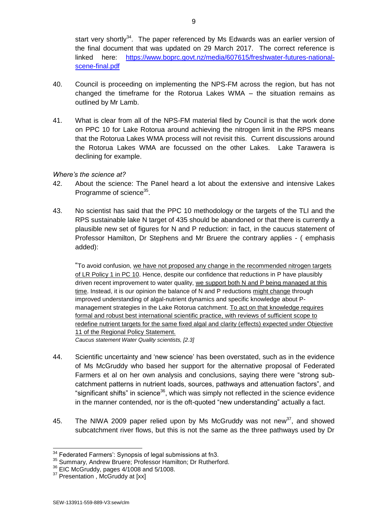start very shortly<sup>34</sup>. The paper referenced by Ms Edwards was an earlier version of the final document that was updated on 29 March 2017. The correct reference is linked here: [https://www.boprc.govt.nz/media/607615/freshwater-futures-national](https://www.boprc.govt.nz/media/607615/freshwater-futures-national-scene-final.pdf)[scene-final.pdf](https://www.boprc.govt.nz/media/607615/freshwater-futures-national-scene-final.pdf)

- 40. Council is proceeding on implementing the NPS-FM across the region, but has not changed the timeframe for the Rotorua Lakes WMA – the situation remains as outlined by Mr Lamb.
- 41. What is clear from all of the NPS-FM material filed by Council is that the work done on PPC 10 for Lake Rotorua around achieving the nitrogen limit in the RPS means that the Rotorua Lakes WMA process will not revisit this. Current discussions around the Rotorua Lakes WMA are focussed on the other Lakes. Lake Tarawera is declining for example.

### *Where's the science at?*

- 42. About the science: The Panel heard a lot about the extensive and intensive Lakes Programme of science<sup>35</sup>.
- 43. No scientist has said that the PPC 10 methodology or the targets of the TLI and the RPS sustainable lake N target of 435 should be abandoned or that there is currently a plausible new set of figures for N and P reduction: in fact, in the caucus statement of Professor Hamilton, Dr Stephens and Mr Bruere the contrary applies - ( emphasis added):

"To avoid confusion, we have not proposed any change in the recommended nitrogen targets of LR Policy 1 in PC 10. Hence, despite our confidence that reductions in P have plausibly driven recent improvement to water quality, we support both N and P being managed at this time. Instead, it is our opinion the balance of N and P reductions might change through improved understanding of algal-nutrient dynamics and specific knowledge about Pmanagement strategies in the Lake Rotorua catchment. To act on that knowledge requires formal and robust best international scientific practice, with reviews of sufficient scope to redefine nutrient targets for the same fixed algal and clarity (effects) expected under Objective 11 of the Regional Policy Statement. *Caucus statement Water Quality scientists, [2.3]*

- 44. Scientific uncertainty and 'new science' has been overstated, such as in the evidence of Ms McGruddy who based her support for the alternative proposal of Federated Farmers et al on her own analysis and conclusions, saying there were "strong subcatchment patterns in nutrient loads, sources, pathways and attenuation factors", and "significant shifts" in science<sup>36</sup>, which was simply not reflected in the science evidence in the manner contended, nor is the oft-quoted "new understanding" actually a fact.
- 45. The NIWA 2009 paper relied upon by Ms McGruddy was not new<sup>37</sup>, and showed subcatchment river flows, but this is not the same as the three pathways used by Dr

<sup>1</sup>  $34$  Federated Farmers': Synopsis of legal submissions at fn3.

<sup>35</sup> Summary, Andrew Bruere; Professor Hamilton; Dr Rutherford.

<sup>&</sup>lt;sup>36</sup> EIC McGruddy, pages 4/1008 and 5/1008.

<sup>&</sup>lt;sup>37</sup> Presentation, McGruddy at [xx]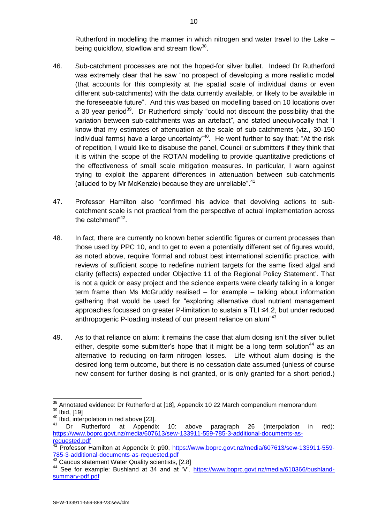Rutherford in modelling the manner in which nitrogen and water travel to the Lake – being quickflow, slowflow and stream flow<sup>38</sup>.

- 46. Sub-catchment processes are not the hoped-for silver bullet. Indeed Dr Rutherford was extremely clear that he saw "no prospect of developing a more realistic model (that accounts for this complexity at the spatial scale of individual dams or even different sub-catchments) with the data currently available, or likely to be available in the foreseeable future". And this was based on modelling based on 10 locations over a 30 year period<sup>39</sup>. Dr Rutherford simply "could not discount the possibility that the variation between sub-catchments was an artefact", and stated unequivocally that "I know that my estimates of attenuation at the scale of sub-catchments (viz., 30-150 individual farms) have a large uncertainty"<sup>40</sup>. He went further to say that: "At the risk of repetition, I would like to disabuse the panel, Council or submitters if they think that it is within the scope of the ROTAN modelling to provide quantitative predictions of the effectiveness of small scale mitigation measures. In particular, I warn against trying to exploit the apparent differences in attenuation between sub-catchments (alluded to by Mr McKenzie) because they are unreliable".<sup>41</sup>
- 47. Professor Hamilton also "confirmed his advice that devolving actions to subcatchment scale is not practical from the perspective of actual implementation across the catchment"<sup>42</sup>.
- 48. In fact, there are currently no known better scientific figures or current processes than those used by PPC 10, and to get to even a potentially different set of figures would, as noted above, require 'formal and robust best international scientific practice, with reviews of sufficient scope to redefine nutrient targets for the same fixed algal and clarity (effects) expected under Objective 11 of the Regional Policy Statement'. That is not a quick or easy project and the science experts were clearly talking in a longer term frame than Ms McGruddy realised – for example – talking about information gathering that would be used for "exploring alternative dual nutrient management approaches focussed on greater P-limitation to sustain a TLI ≤4.2, but under reduced anthropogenic P-loading instead of our present reliance on alum<sup>"43</sup>
- 49. As to that reliance on alum: it remains the case that alum dosing isn't the silver bullet either, despite some submitter's hope that it might be a long term solution<sup>44</sup> as an alternative to reducing on-farm nitrogen losses. Life without alum dosing is the desired long term outcome, but there is no cessation date assumed (unless of course new consent for further dosing is not granted, or is only granted for a short period.)

 $\overline{a}$  $38$  Annotated evidence: Dr Rutherford at [18], Appendix 10 22 March compendium memorandum <sup>39</sup> Ibid, [19]

<sup>&</sup>lt;sup>40</sup> Ibid, interpolation in red above [23].

Dr Rutherford at Appendix 10: above paragraph 26 (interpolation in red): [https://www.boprc.govt.nz/media/607613/sew-133911-559-785-3-additional-documents-as](https://www.boprc.govt.nz/media/607613/sew-133911-559-785-3-additional-documents-as-requested.pdf)[requested.pdf](https://www.boprc.govt.nz/media/607613/sew-133911-559-785-3-additional-documents-as-requested.pdf)

<sup>42</sup> Professor Hamilton at Appendix 9: p90, [https://www.boprc.govt.nz/media/607613/sew-133911-559-](https://www.boprc.govt.nz/media/607613/sew-133911-559-785-3-additional-documents-as-requested.pdf) [785-3-additional-documents-as-requested.pdf](https://www.boprc.govt.nz/media/607613/sew-133911-559-785-3-additional-documents-as-requested.pdf)

<sup>43</sup> Caucus statement Water Quality scientists, [2.8]

<sup>44</sup> See for example: Bushland at 34 and at 'V'. [https://www.boprc.govt.nz/media/610366/bushland](https://www.boprc.govt.nz/media/610366/bushland-summary-pdf.pdf)[summary-pdf.pdf](https://www.boprc.govt.nz/media/610366/bushland-summary-pdf.pdf)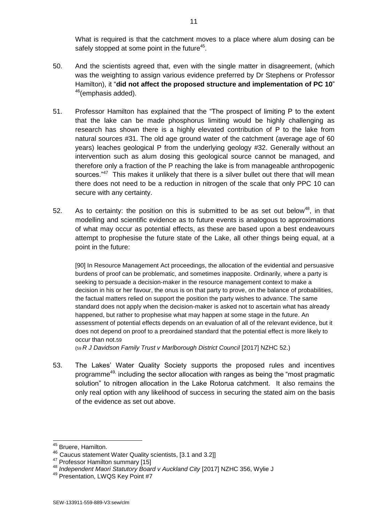What is required is that the catchment moves to a place where alum dosing can be safely stopped at some point in the future<sup>45</sup>.

- 50. And the scientists agreed that, even with the single matter in disagreement, (which was the weighting to assign various evidence preferred by Dr Stephens or Professor Hamilton), it "**did not affect the proposed structure and implementation of PC 10**" <sup>46</sup>(emphasis added).
- 51. Professor Hamilton has explained that the "The prospect of limiting P to the extent that the lake can be made phosphorus limiting would be highly challenging as research has shown there is a highly elevated contribution of P to the lake from natural sources #31. The old age ground water of the catchment (average age of 60 years) leaches geological P from the underlying geology #32. Generally without an intervention such as alum dosing this geological source cannot be managed, and therefore only a fraction of the P reaching the lake is from manageable anthropogenic sources."<sup>47</sup> This makes it unlikely that there is a silver bullet out there that will mean there does not need to be a reduction in nitrogen of the scale that only PPC 10 can secure with any certainty.
- 52. As to certainty: the position on this is submitted to be as set out below<sup>48</sup>, in that modelling and scientific evidence as to future events is analogous to approximations of what may occur as potential effects, as these are based upon a best endeavours attempt to prophesise the future state of the Lake, all other things being equal, at a point in the future:

[90] In Resource Management Act proceedings, the allocation of the evidential and persuasive burdens of proof can be problematic, and sometimes inapposite. Ordinarily, where a party is seeking to persuade a decision-maker in the resource management context to make a decision in his or her favour, the onus is on that party to prove, on the balance of probabilities, the factual matters relied on support the position the party wishes to advance. The same standard does not apply when the decision-maker is asked not to ascertain what has already happened, but rather to prophesise what may happen at some stage in the future. An assessment of potential effects depends on an evaluation of all of the relevant evidence, but it does not depend on proof to a preordained standard that the potential effect is more likely to occur than not.59

(59 *R J Davidson Family Trust v Marlborough District Council* [2017] NZHC 52.)

53. The Lakes' Water Quality Society supports the proposed rules and incentives programme<sup>49,</sup> including the sector allocation with ranges as being the "most pragmatic solution" to nitrogen allocation in the Lake Rotorua catchment. It also remains the only real option with any likelihood of success in securing the stated aim on the basis of the evidence as set out above.

 $\overline{\phantom{a}}$ 

<sup>&</sup>lt;sup>45</sup> Bruere, Hamilton.

<sup>46</sup> Caucus statement Water Quality scientists, [3.1 and 3.2]]

<sup>&</sup>lt;sup>47</sup> Professor Hamilton summary [15]

<sup>48</sup> *Independent Maori Statutory Board v Auckland City* [2017] NZHC 356, Wylie J

<sup>49</sup> Presentation, LWQS Key Point #7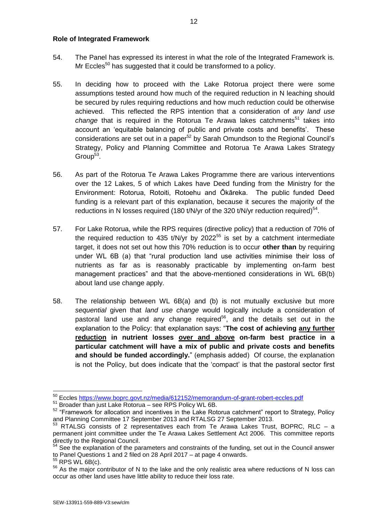#### **Role of Integrated Framework**

- 54. The Panel has expressed its interest in what the role of the Integrated Framework is. Mr Eccles<sup>50</sup> has suggested that it could be transformed to a policy.
- 55. In deciding how to proceed with the Lake Rotorua project there were some assumptions tested around how much of the required reduction in N leaching should be secured by rules requiring reductions and how much reduction could be otherwise achieved. This reflected the RPS intention that a consideration of *any land use change* that is required in the Rotorua Te Arawa lakes catchments<sup>51</sup> takes into account an 'equitable balancing of public and private costs and benefits'. These considerations are set out in a paper<sup>52</sup> by Sarah Omundson to the Regional Council's Strategy, Policy and Planning Committee and Rotorua Te Arawa Lakes Strategy  $Group<sup>53</sup>$ .
- 56. As part of the Rotorua Te Arawa Lakes Programme there are various interventions over the 12 Lakes, 5 of which Lakes have Deed funding from the Ministry for the Environment: Rotorua, Rotoiti, Rotoehu and Ōkāreka. The public funded Deed funding is a relevant part of this explanation, because it secures the majority of the reductions in N losses required (180 t/N/yr of the 320 t/N/yr reduction required)<sup>54</sup>.
- 57. For Lake Rotorua, while the RPS requires (directive policy) that a reduction of 70% of the required reduction to 435 t/N/yr by 2022 $55$  is set by a catchment intermediate target, it does not set out how this 70% reduction is to occur **other than** by requiring under WL 6B (a) that "rural production land use activities minimise their loss of nutrients as far as is reasonably practicable by implementing on-farm best management practices" and that the above-mentioned considerations in WL 6B(b) about land use change apply.
- 58. The relationship between WL 6B(a) and (b) is not mutually exclusive but more *sequential* given that *land use change* would logically include a consideration of pastoral land use and any change required<sup>56</sup>, and the details set out in the explanation to the Policy: that explanation says: "**The cost of achieving any further reduction in nutrient losses over and above on-farm best practice in a particular catchment will have a mix of public and private costs and benefits and should be funded accordingly.**" (emphasis added) Of course, the explanation is not the Policy, but does indicate that the 'compact' is that the pastoral sector first

1

<sup>&</sup>lt;sup>50</sup> Eccles<https://www.boprc.govt.nz/media/612152/memorandum-of-grant-robert-eccles.pdf>

<sup>51</sup> Broader than just Lake Rotorua – see RPS Policy WL 6B.

<sup>&</sup>lt;sup>52</sup> "Framework for allocation and incentives in the Lake Rotorua catchment" report to Strategy, Policy and Planning Committee 17 September 2013 and RTALSG 27 September 2013.

RTALSG consists of 2 representatives each from Te Arawa Lakes Trust, BOPRC, RLC – a permanent joint committee under the Te Arawa Lakes Settlement Act 2006. This committee reports directly to the Regional Council.

<sup>54</sup> See the explanation of the parameters and constraints of the funding, set out in the Council answer to Panel Questions 1 and 2 filed on 28 April 2017 – at page 4 onwards.

 $^5$  RPS WL 6B(c).

 $56$  As the major contributor of N to the lake and the only realistic area where reductions of N loss can occur as other land uses have little ability to reduce their loss rate.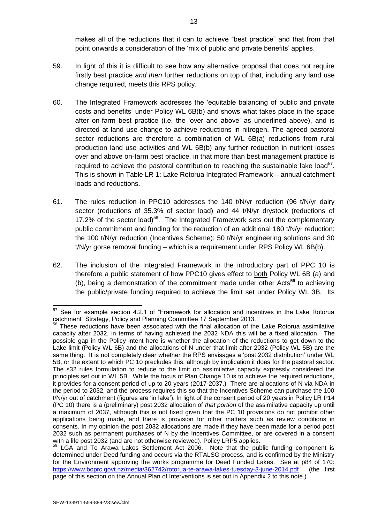makes all of the reductions that it can to achieve "best practice" and that from that point onwards a consideration of the 'mix of public and private benefits' applies.

- 59. In light of this it is difficult to see how any alternative proposal that does not require firstly best practice *and then* further reductions on top of that, including any land use change required, meets this RPS policy.
- 60. The Integrated Framework addresses the 'equitable balancing of public and private costs and benefits' under Policy WL 6B(b) and shows what takes place in the space after on-farm best practice (i.e. the 'over and above' as underlined above), and is directed at land use change to achieve reductions in nitrogen. The agreed pastoral sector reductions are therefore a combination of WL 6B(a) reductions from rural production land use activities and WL 6B(b) any further reduction in nutrient losses over and above on-farm best practice, in that more than best management practice is required to achieve the pastoral contribution to reaching the sustainable lake load $57$ . This is shown in Table LR 1: Lake Rotorua Integrated Framework – annual catchment loads and reductions.
- 61. The rules reduction in PPC10 addresses the 140 t/N/yr reduction (96 t/N/yr dairy sector (reductions of 35.3% of sector load) and 44 t/N/yr drystock (reductions of 17.2% of the sector load)<sup>58</sup>. The Integrated Framework sets out the complementary public commitment and funding for the reduction of an additional 180 t/N/yr reduction: the 100 t/N/yr reduction (Incentives Scheme); 50 t/N/yr engineering solutions and 30 t/N/yr gorse removal funding – which is a requirement under RPS Policy WL 6B(b).
- 62. The inclusion of the Integrated Framework in the introductory part of PPC 10 is therefore a public statement of how PPC10 gives effect to both Policy WL 6B (a) and (b), being a demonstration of the commitment made under other Acts**<sup>59</sup>** to achieving the public/private funding required to achieve the limit set under Policy WL 3B. Its

 $\overline{a}$  $57$  See for example section 4.2.1 of "Framework for allocation and incentives in the Lake Rotorua catchment" Strategy, Policy and Planning Committee 17 September 2013.

batchment Strategy, I slie, and I latening Schmitter Theorem of the Lake Rotorua assimilative capacity after 2032, in terms of having achieved the 2032 NDA this will be a fixed allocation. The possible gap in the Policy intent here is whether the allocation of the reductions to get down to the Lake limit (Policy WL 6B) and the allocations of N under that limit after 2032 (Policy WL 5B) are the same thing. It is not completely clear whether the RPS envisages a 'post 2032 distribution' under WL 5B, or the extent to which PC 10 precludes this, although by implication it does for the pastoral sector. The s32 rules formulation to reduce to the limit on assimilative capacity expressly considered the principles set out in WL 5B. While the focus of Plan Change 10 is to achieve the required reductions, it provides for a consent period of up to 20 years (2017-2037.) There are allocations of N via NDA in the period to 2032, and the process requires this so that the Incentives Scheme can purchase the 100 t/N/yr out of catchment (figures are 'in lake'). In light of the consent period of 20 years in Policy LR P14 (PC 10) there is a (preliminary) post 2032 allocation of *that portion* of the assimilative capacity up until a maximum of 2037, although this is not fixed given that the PC 10 provisions do not prohibit other applications being made, and there is provision for other matters such as review conditions in consents. In my opinion the post 2032 allocations are made if they have been made for a period post 2032 such as permanent purchases of N by the Incentives Committee, or are covered in a consent with a life post 2032 (and are not otherwise reviewed). Policy LRP5 applies.

<sup>&</sup>lt;sup>59</sup> LGA and Te Arawa Lakes Settlement Act 2006. Note that the public funding component is determined under Deed funding and occurs via the RTALSG process, and is confirmed by the Ministry for the Environment approving the works programme for Deed Funded Lakes. See at p84 of 170: <https://www.boprc.govt.nz/media/362742/rotorua-te-arawa-lakes-tuesday-3-june-2014.pdf>(the first page of this section on the Annual Plan of Interventions is set out in Appendix 2 to this note.)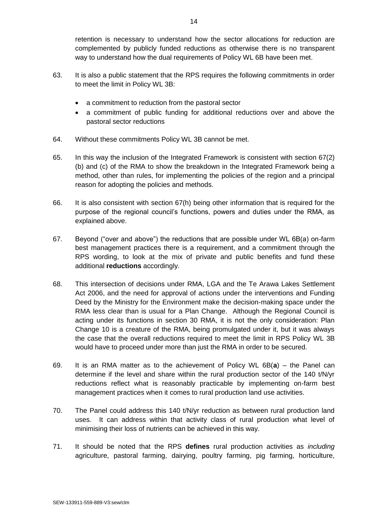retention is necessary to understand how the sector allocations for reduction are complemented by publicly funded reductions as otherwise there is no transparent way to understand how the dual requirements of Policy WL 6B have been met.

- 63. It is also a public statement that the RPS requires the following commitments in order to meet the limit in Policy WL 3B:
	- a commitment to reduction from the pastoral sector
	- a commitment of public funding for additional reductions over and above the pastoral sector reductions
- 64. Without these commitments Policy WL 3B cannot be met.
- 65. In this way the inclusion of the Integrated Framework is consistent with section 67(2) (b) and (c) of the RMA to show the breakdown in the Integrated Framework being a method, other than rules, for implementing the policies of the region and a principal reason for adopting the policies and methods.
- 66. It is also consistent with section 67(h) being other information that is required for the purpose of the regional council's functions, powers and duties under the RMA, as explained above.
- 67. Beyond ("over and above") the reductions that are possible under WL 6B(a) on-farm best management practices there is a requirement, and a commitment through the RPS wording, to look at the mix of private and public benefits and fund these additional **reductions** accordingly.
- 68. This intersection of decisions under RMA, LGA and the Te Arawa Lakes Settlement Act 2006, and the need for approval of actions under the interventions and Funding Deed by the Ministry for the Environment make the decision-making space under the RMA less clear than is usual for a Plan Change. Although the Regional Council is acting under its functions in section 30 RMA, it is not the only consideration: Plan Change 10 is a creature of the RMA, being promulgated under it, but it was always the case that the overall reductions required to meet the limit in RPS Policy WL 3B would have to proceed under more than just the RMA in order to be secured.
- 69. It is an RMA matter as to the achievement of Policy WL 6B(**a**) the Panel can determine if the level and share within the rural production sector of the 140 t/N/yr reductions reflect what is reasonably practicable by implementing on-farm best management practices when it comes to rural production land use activities.
- 70. The Panel could address this 140 t/N/yr reduction as between rural production land uses. It can address within that activity class of rural production what level of minimising their loss of nutrients can be achieved in this way.
- 71. It should be noted that the RPS **defines** rural production activities as *including* agriculture, pastoral farming, dairying, poultry farming, pig farming, horticulture,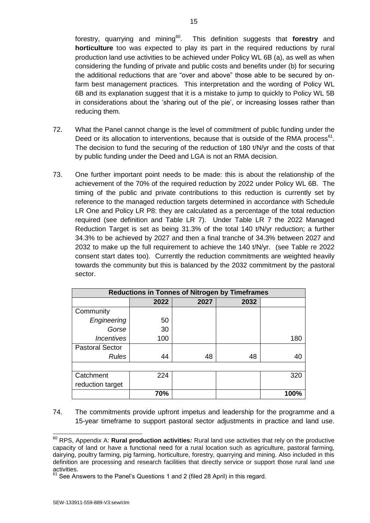forestry, quarrying and mining<sup>60</sup>. This definition suggests that **forestry** and **horticulture** too was expected to play its part in the required reductions by rural production land use activities to be achieved under Policy WL 6B (a), as well as when considering the funding of private and public costs and benefits under (b) for securing the additional reductions that are "over and above" those able to be secured by onfarm best management practices. This interpretation and the wording of Policy WL 6B and its explanation suggest that it is a mistake to jump to quickly to Policy WL 5B in considerations about the 'sharing out of the pie', or increasing losses rather than reducing them.

- 72. What the Panel cannot change is the level of commitment of public funding under the Deed or its allocation to interventions, because that is outside of the RMA process $<sup>61</sup>$ .</sup> The decision to fund the securing of the reduction of 180 t/N/yr and the costs of that by public funding under the Deed and LGA is not an RMA decision.
- 73. One further important point needs to be made: this is about the relationship of the achievement of the 70% of the required reduction by 2022 under Policy WL 6B. The timing of the public and private contributions to this reduction is currently set by reference to the managed reduction targets determined in accordance with Schedule LR One and Policy LR P8: they are calculated as a percentage of the total reduction required (see definition and Table LR 7). Under Table LR 7 the 2022 Managed Reduction Target is set as being 31.3% of the total 140 t/N/yr reduction; a further 34.3% to be achieved by 2027 and then a final tranche of 34.3% between 2027 and 2032 to make up the full requirement to achieve the 140 t/N/yr. (see Table re 2022 consent start dates too). Currently the reduction commitments are weighted heavily towards the community but this is balanced by the 2032 commitment by the pastoral sector.

| <b>Reductions in Tonnes of Nitrogen by Timeframes</b> |      |      |      |      |
|-------------------------------------------------------|------|------|------|------|
|                                                       | 2022 | 2027 | 2032 |      |
| Community                                             |      |      |      |      |
| Engineering                                           | 50   |      |      |      |
| Gorse                                                 | 30   |      |      |      |
| <i><u><b>Incentives</b></u></i>                       | 100  |      |      | 180  |
| <b>Pastoral Sector</b>                                |      |      |      |      |
| <b>Rules</b>                                          | 44   | 48   | 48   | 40   |
|                                                       |      |      |      |      |
| Catchment                                             | 224  |      |      | 320  |
| reduction target                                      |      |      |      |      |
|                                                       | 70%  |      |      | 100% |

74. The commitments provide upfront impetus and leadership for the programme and a 15-year timeframe to support pastoral sector adjustments in practice and land use.

 $\overline{1}$ <sup>60</sup> RPS, Appendix A: **Rural production activities***:* Rural land use activities that rely on the productive capacity of land or have a functional need for a rural location such as agriculture, pastoral farming, dairying, poultry farming, pig farming, horticulture, forestry, quarrying and mining. Also included in this definition are processing and research facilities that directly service or support those rural land use activities.

<sup>&</sup>lt;sup>61</sup> See Answers to the Panel's Questions 1 and 2 (filed 28 April) in this regard.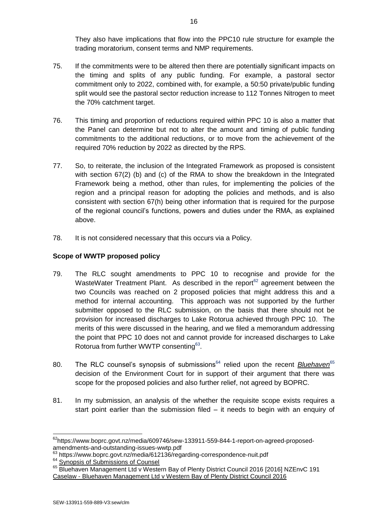They also have implications that flow into the PPC10 rule structure for example the trading moratorium, consent terms and NMP requirements.

- 75. If the commitments were to be altered then there are potentially significant impacts on the timing and splits of any public funding. For example, a pastoral sector commitment only to 2022, combined with, for example, a 50:50 private/public funding split would see the pastoral sector reduction increase to 112 Tonnes Nitrogen to meet the 70% catchment target.
- 76. This timing and proportion of reductions required within PPC 10 is also a matter that the Panel can determine but not to alter the amount and timing of public funding commitments to the additional reductions, or to move from the achievement of the required 70% reduction by 2022 as directed by the RPS.
- 77. So, to reiterate, the inclusion of the Integrated Framework as proposed is consistent with section 67(2) (b) and (c) of the RMA to show the breakdown in the Integrated Framework being a method, other than rules, for implementing the policies of the region and a principal reason for adopting the policies and methods, and is also consistent with section 67(h) being other information that is required for the purpose of the regional council's functions, powers and duties under the RMA, as explained above.
- 78. It is not considered necessary that this occurs via a Policy.

## **Scope of WWTP proposed policy**

- 79. The RLC sought amendments to PPC 10 to recognise and provide for the WasteWater Treatment Plant. As described in the report<sup>62</sup> agreement between the two Councils was reached on 2 proposed policies that might address this and a method for internal accounting. This approach was not supported by the further submitter opposed to the RLC submission, on the basis that there should not be provision for increased discharges to Lake Rotorua achieved through PPC 10. The merits of this were discussed in the hearing, and we filed a memorandum addressing the point that PPC 10 does not and cannot provide for increased discharges to Lake Rotorua from further WWTP consenting<sup>63</sup>.
- 80. The RLC counsel's synopsis of submissions<sup>64</sup> relied upon the recent *Bluehaven*<sup>65</sup> decision of the Environment Court for in support of their argument that there was scope for the proposed policies and also further relief, not agreed by BOPRC.
- 81. In my submission, an analysis of the whether the requisite scope exists requires a start point earlier than the submission filed – it needs to begin with an enquiry of

 $\overline{1}$ <sup>62</sup>https://www.boprc.govt.nz/media/609746/sew-133911-559-844-1-report-on-agreed-proposedamendments-and-outstanding-issues-wwtp.pdf

<sup>&</sup>lt;sup>63</sup> https://www.boprc.govt.nz/media/612136/regarding-correspondence-nuit.pdf

<sup>&</sup>lt;sup>64</sup> [Synopsis of Submissions of Counsel](https://www.boprc.govt.nz/media/610359/synopsis-of-submissions-of-counsel-for-rlc.pdf)

<sup>&</sup>lt;sup>65</sup> Bluehaven Management Ltd v Western Bay of Plenty District Council 2016 [2016] NZEnvC 191 Caselaw - [Bluehaven Management Ltd v Western](https://www.boprc.govt.nz/media/610362/tlb-222361-143-864-1-bluehaven-management-ltd-v-wbopdc-2016-nzenvc-191.pdf) Bay of Plenty District Council 2016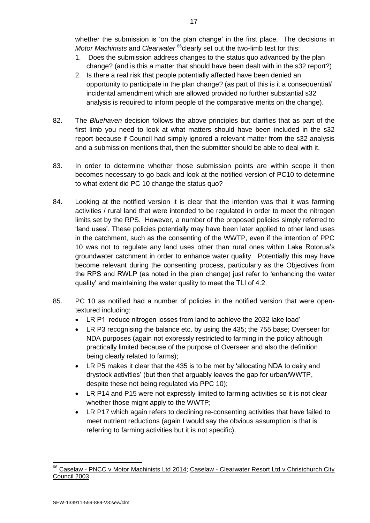- 1. Does the submission address changes to the status quo advanced by the plan change? (and is this a matter that should have been dealt with in the s32 report?)
- 2. Is there a real risk that people potentially affected have been denied an opportunity to participate in the plan change? (as part of this is it a consequential/ incidental amendment which are allowed provided no further substantial s32 analysis is required to inform people of the comparative merits on the change).
- 82. The *Bluehaven* decision follows the above principles but clarifies that as part of the first limb you need to look at what matters should have been included in the s32 report because if Council had simply ignored a relevant matter from the s32 analysis and a submission mentions that, then the submitter should be able to deal with it.
- 83. In order to determine whether those submission points are within scope it then becomes necessary to go back and look at the notified version of PC10 to determine to what extent did PC 10 change the status quo?
- 84. Looking at the notified version it is clear that the intention was that it was farming activities / rural land that were intended to be regulated in order to meet the nitrogen limits set by the RPS. However, a number of the proposed policies simply referred to 'land uses'. These policies potentially may have been later applied to other land uses in the catchment, such as the consenting of the WWTP, even if the intention of PPC 10 was not to regulate any land uses other than rural ones within Lake Rotorua's groundwater catchment in order to enhance water quality. Potentially this may have become relevant during the consenting process, particularly as the Objectives from the RPS and RWLP (as noted in the plan change) just refer to 'enhancing the water quality' and maintaining the water quality to meet the TLI of 4.2.
- 85. PC 10 as notified had a number of policies in the notified version that were opentextured including:
	- LR P1 'reduce nitrogen losses from land to achieve the 2032 lake load'
	- LR P3 recognising the balance etc. by using the 435; the 755 base; Overseer for NDA purposes (again not expressly restricted to farming in the policy although practically limited because of the purpose of Overseer and also the definition being clearly related to farms);
	- LR P5 makes it clear that the 435 is to be met by 'allocating NDA to dairy and drystock activities' (but then that arguably leaves the gap for urban/WWTP, despite these not being regulated via PPC 10);
	- LR P14 and P15 were not expressly limited to farming activities so it is not clear whether those might apply to the WWTP;
	- LR P17 which again refers to declining re-consenting activities that have failed to meet nutrient reductions (again I would say the obvious assumption is that is referring to farming activities but it is not specific).

 <sup>66</sup> Caselaw - [PNCC v Motor Machinists Ltd 2014;](https://www.boprc.govt.nz/media/610360/tlb-222361-143-866-1-pncc-v-motor-machinists-ltd-2014-nzrma-519.pdf) Caselaw - Clearwater Resort Ltd v Christchurch City [Council 2003](https://www.boprc.govt.nz/media/610361/tlb-222361-143-865-1-clearwater-resort-ltd-v-christchurch-city-council-ap3402-hc-14-march-2003.pdf)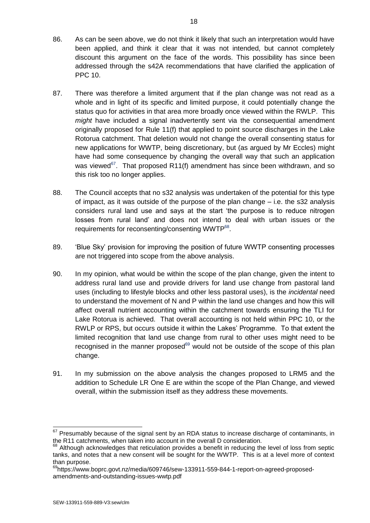- 86. As can be seen above, we do not think it likely that such an interpretation would have been applied, and think it clear that it was not intended, but cannot completely discount this argument on the face of the words. This possibility has since been addressed through the s42A recommendations that have clarified the application of PPC 10.
- 87. There was therefore a limited argument that if the plan change was not read as a whole and in light of its specific and limited purpose, it could potentially change the status quo for activities in that area more broadly once viewed within the RWLP. This *might* have included a signal inadvertently sent via the consequential amendment originally proposed for Rule 11(f) that applied to point source discharges in the Lake Rotorua catchment. That deletion would not change the overall consenting status for new applications for WWTP, being discretionary, but (as argued by Mr Eccles) might have had some consequence by changing the overall way that such an application was viewed<sup>67</sup>. That proposed R11(f) amendment has since been withdrawn, and so this risk too no longer applies.
- 88. The Council accepts that no s32 analysis was undertaken of the potential for this type of impact, as it was outside of the purpose of the plan change – i.e. the s32 analysis considers rural land use and says at the start 'the purpose is to reduce nitrogen losses from rural land' and does not intend to deal with urban issues or the requirements for reconsenting/consenting WWTP<sup>68</sup>.
- 89. 'Blue Sky' provision for improving the position of future WWTP consenting processes are not triggered into scope from the above analysis.
- 90. In my opinion, what would be within the scope of the plan change, given the intent to address rural land use and provide drivers for land use change from pastoral land uses (including to lifestyle blocks and other less pastoral uses), is the *incidental* need to understand the movement of N and P within the land use changes and how this will affect overall nutrient accounting within the catchment towards ensuring the TLI for Lake Rotorua is achieved. That overall accounting is not held within PPC 10, or the RWLP or RPS, but occurs outside it within the Lakes' Programme. To that extent the limited recognition that land use change from rural to other uses might need to be recognised in the manner proposed $69$  would not be outside of the scope of this plan change.
- 91. In my submission on the above analysis the changes proposed to LRM5 and the addition to Schedule LR One E are within the scope of the Plan Change, and viewed overall, within the submission itself as they address these movements.

 $\overline{a}$ 

 $67$  Presumably because of the signal sent by an RDA status to increase discharge of contaminants, in the R11 catchments, when taken into account in the overall D consideration.

<sup>&</sup>lt;sup>68</sup> Although acknowledges that reticulation provides a benefit in reducing the level of loss from septic tanks, and notes that a new consent will be sought for the WWTP. This is at a level more of context than purpose.

<sup>&</sup>lt;sup>69</sup>https://www.boprc.govt.nz/media/609746/sew-133911-559-844-1-report-on-agreed-proposedamendments-and-outstanding-issues-wwtp.pdf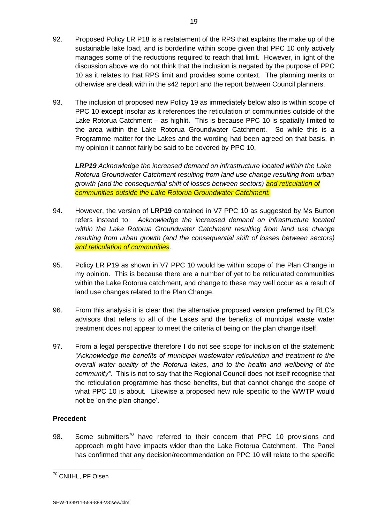- 92. Proposed Policy LR P18 is a restatement of the RPS that explains the make up of the sustainable lake load, and is borderline within scope given that PPC 10 only actively manages some of the reductions required to reach that limit. However, in light of the discussion above we do not think that the inclusion is negated by the purpose of PPC 10 as it relates to that RPS limit and provides some context. The planning merits or otherwise are dealt with in the s42 report and the report between Council planners.
- 93. The inclusion of proposed new Policy 19 as immediately below also is within scope of PPC 10 **except** insofar as it references the reticulation of communities outside of the Lake Rotorua Catchment – as highlit. This is because PPC 10 is spatially limited to the area within the Lake Rotorua Groundwater Catchment. So while this is a Programme matter for the Lakes and the wording had been agreed on that basis, in my opinion it cannot fairly be said to be covered by PPC 10.

*LRP19 Acknowledge the increased demand on infrastructure located within the Lake Rotorua Groundwater Catchment resulting from land use change resulting from urban growth (and the consequential shift of losses between sectors) and reticulation of communities outside the Lake Rotorua Groundwater Catchment.*

- 94. However, the version of **LRP19** contained in V7 PPC 10 as suggested by Ms Burton refers instead to: *Acknowledge the increased demand on infrastructure located within the Lake Rotorua Groundwater Catchment resulting from land use change resulting from urban growth (and the consequential shift of losses between sectors) and reticulation of communities*.
- 95. Policy LR P19 as shown in V7 PPC 10 would be within scope of the Plan Change in my opinion. This is because there are a number of yet to be reticulated communities within the Lake Rotorua catchment, and change to these may well occur as a result of land use changes related to the Plan Change.
- 96. From this analysis it is clear that the alternative proposed version preferred by RLC's advisors that refers to all of the Lakes and the benefits of municipal waste water treatment does not appear to meet the criteria of being on the plan change itself.
- 97. From a legal perspective therefore I do not see scope for inclusion of the statement: *"Acknowledge the benefits of municipal wastewater reticulation and treatment to the overall water quality of the Rotorua lakes, and to the health and wellbeing of the community".* This is not to say that the Regional Council does not itself recognise that the reticulation programme has these benefits, but that cannot change the scope of what PPC 10 is about. Likewise a proposed new rule specific to the WWTP would not be 'on the plan change'.

## **Precedent**

1

98. Some submitters<sup>70</sup> have referred to their concern that PPC 10 provisions and approach might have impacts wider than the Lake Rotorua Catchment. The Panel has confirmed that any decision/recommendation on PPC 10 will relate to the specific

<sup>&</sup>lt;sup>70</sup> CNIIHL, PF Olsen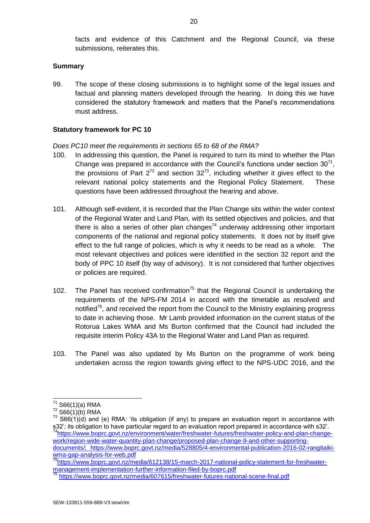facts and evidence of this Catchment and the Regional Council, via these submissions, reiterates this.

### **Summary**

99. The scope of these closing submissions is to highlight some of the legal issues and factual and planning matters developed through the hearing. In doing this we have considered the statutory framework and matters that the Panel's recommendations must address.

### **Statutory framework for PC 10**

*Does PC10 meet the requirements in sections 65 to 68 of the RMA?*

- 100. In addressing this question, the Panel is required to turn its mind to whether the Plan Change was prepared in accordance with the Council's functions under section  $30^{71}$ , the provisions of Part  $2^{72}$  and section  $32^{73}$ , including whether it gives effect to the relevant national policy statements and the Regional Policy Statement. These questions have been addressed throughout the hearing and above.
- 101. Although self-evident, it is recorded that the Plan Change sits within the wider context of the Regional Water and Land Plan, with its settled objectives and policies, and that there is also a series of other plan changes<sup>74</sup> underway addressing other important components of the national and regional policy statements. It does not by itself give effect to the full range of policies, which is why it needs to be read as a whole. The most relevant objectives and polices were identified in the section 32 report and the body of PPC 10 itself (by way of advisory). It is not considered that further objectives or policies are required.
- 102. The Panel has received confirmation<sup>75</sup> that the Regional Council is undertaking the requirements of the NPS-FM 2014 in accord with the timetable as resolved and notified<sup>76</sup>, and received the report from the Council to the Ministry explaining progress to date in achieving those. Mr Lamb provided information on the current status of the Rotorua Lakes WMA and Ms Burton confirmed that the Council had included the requisite interim Policy 43A to the Regional Water and Land Plan as required.
- 103. The Panel was also updated by Ms Burton on the programme of work being undertaken across the region towards giving effect to the NPS-UDC 2016, and the

-

<sup>75</sup>[https://www.boprc.govt.nz/media/612138/15-march-2017-national-policy-statement-for-freshwater](https://www.boprc.govt.nz/media/612138/15-march-2017-national-policy-statement-for-freshwater-management-implementation-further-information-filed-by-boprc.pdf)[management-implementation-further-information-filed-by-boprc.pdf](https://www.boprc.govt.nz/media/612138/15-march-2017-national-policy-statement-for-freshwater-management-implementation-further-information-filed-by-boprc.pdf)

 $71$  S66(1)(a) RMA

 $72$  S66(1)(b) RMA

 $73$  S66(1)(d) and (e) RMA: 'its obligation (if any) to prepare an evaluation report in accordance with s32'; its obligation to have particular regard to an evaluation report prepared in accordance with s32'. <sup>74</sup>[https://www.boprc.govt.nz/environment/water/freshwater-futures/freshwater-policy-and-plan-change](https://www.boprc.govt.nz/environment/water/freshwater-futures/freshwater-policy-and-plan-change-work/region-wide-water-quantity-plan-change/proposed-plan-change-9-and-other-supporting-documents/)[work/region-wide-water-quantity-plan-change/proposed-plan-change-9-and-other-supporting-](https://www.boprc.govt.nz/environment/water/freshwater-futures/freshwater-policy-and-plan-change-work/region-wide-water-quantity-plan-change/proposed-plan-change-9-and-other-supporting-documents/)

[documents/;](https://www.boprc.govt.nz/environment/water/freshwater-futures/freshwater-policy-and-plan-change-work/region-wide-water-quantity-plan-change/proposed-plan-change-9-and-other-supporting-documents/) https://www.boprc.govt.nz/media/528805/4-environmental-publication-2016-02-rangitaikiwma-gap-analysis-for-web.pdf

<sup>&</sup>lt;sup>76</sup> <https://www.boprc.govt.nz/media/607615/freshwater-futures-national-scene-final.pdf>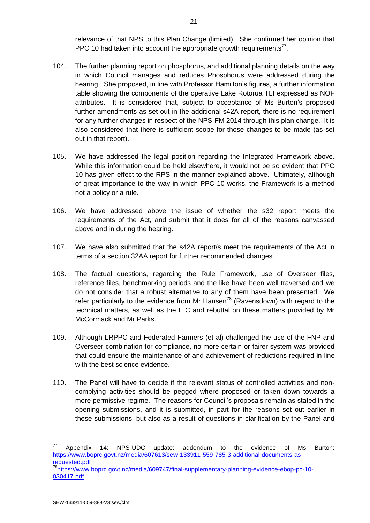relevance of that NPS to this Plan Change (limited). She confirmed her opinion that PPC 10 had taken into account the appropriate growth requirements<sup>77</sup>.

- 104. The further planning report on phosphorus, and additional planning details on the way in which Council manages and reduces Phosphorus were addressed during the hearing. She proposed, in line with Professor Hamilton's figures, a further information table showing the components of the operative Lake Rotorua TLI expressed as NOF attributes. It is considered that, subject to acceptance of Ms Burton's proposed further amendments as set out in the additional s42A report, there is no requirement for any further changes in respect of the NPS-FM 2014 through this plan change. It is also considered that there is sufficient scope for those changes to be made (as set out in that report).
- 105. We have addressed the legal position regarding the Integrated Framework above. While this information could be held elsewhere, it would not be so evident that PPC 10 has given effect to the RPS in the manner explained above. Ultimately, although of great importance to the way in which PPC 10 works, the Framework is a method not a policy or a rule.
- 106. We have addressed above the issue of whether the s32 report meets the requirements of the Act, and submit that it does for all of the reasons canvassed above and in during the hearing.
- 107. We have also submitted that the s42A report/s meet the requirements of the Act in terms of a section 32AA report for further recommended changes.
- 108. The factual questions, regarding the Rule Framework, use of Overseer files, reference files, benchmarking periods and the like have been well traversed and we do not consider that a robust alternative to any of them have been presented. We refer particularly to the evidence from Mr Hansen<sup>78</sup> (Ravensdown) with regard to the technical matters, as well as the EIC and rebuttal on these matters provided by Mr McCormack and Mr Parks.
- 109. Although LRPPC and Federated Farmers (et al) challenged the use of the FNP and Overseer combination for compliance, no more certain or fairer system was provided that could ensure the maintenance of and achievement of reductions required in line with the best science evidence.
- 110. The Panel will have to decide if the relevant status of controlled activities and noncomplying activities should be pegged where proposed or taken down towards a more permissive regime. The reasons for Council's proposals remain as stated in the opening submissions, and it is submitted, in part for the reasons set out earlier in these submissions, but also as a result of questions in clarification by the Panel and

-

 $77$  Appendix 14: NPS-UDC update: addendum to the evidence of Ms Burton: [https://www.boprc.govt.nz/media/607613/sew-133911-559-785-3-additional-documents-as](https://www.boprc.govt.nz/media/607613/sew-133911-559-785-3-additional-documents-as-requested.pdf)[requested.pdf](https://www.boprc.govt.nz/media/607613/sew-133911-559-785-3-additional-documents-as-requested.pdf)

<sup>78</sup>[https://www.boprc.govt.nz/media/609747/final-supplementary-planning-evidence-ebop-pc-10-](https://www.boprc.govt.nz/media/609747/final-supplementary-planning-evidence-ebop-pc-10-030417.pdf) [030417.pdf](https://www.boprc.govt.nz/media/609747/final-supplementary-planning-evidence-ebop-pc-10-030417.pdf)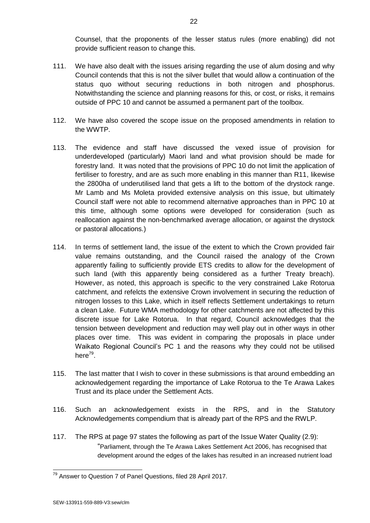Counsel, that the proponents of the lesser status rules (more enabling) did not provide sufficient reason to change this.

- 111. We have also dealt with the issues arising regarding the use of alum dosing and why Council contends that this is not the silver bullet that would allow a continuation of the status quo without securing reductions in both nitrogen and phosphorus. Notwithstanding the science and planning reasons for this, or cost, or risks, it remains outside of PPC 10 and cannot be assumed a permanent part of the toolbox.
- 112. We have also covered the scope issue on the proposed amendments in relation to the WWTP.
- 113. The evidence and staff have discussed the vexed issue of provision for underdeveloped (particularly) Maori land and what provision should be made for forestry land. It was noted that the provisions of PPC 10 do not limit the application of fertiliser to forestry, and are as such more enabling in this manner than R11, likewise the 2800ha of underutilised land that gets a lift to the bottom of the drystock range. Mr Lamb and Ms Moleta provided extensive analysis on this issue, but ultimately Council staff were not able to recommend alternative approaches than in PPC 10 at this time, although some options were developed for consideration (such as reallocation against the non-benchmarked average allocation, or against the drystock or pastoral allocations.)
- 114. In terms of settlement land, the issue of the extent to which the Crown provided fair value remains outstanding, and the Council raised the analogy of the Crown apparently failing to sufficiently provide ETS credits to allow for the development of such land (with this apparently being considered as a further Treaty breach). However, as noted, this approach is specific to the very constrained Lake Rotorua catchment, and refelcts the extensive Crown involvement in securing the reduction of nitrogen losses to this Lake, which in itself reflects Settlement undertakings to return a clean Lake. Future WMA methodology for other catchments are not affected by this discrete issue for Lake Rotorua. In that regard, Council acknowledges that the tension between development and reduction may well play out in other ways in other places over time. This was evident in comparing the proposals in place under Waikato Regional Council's PC 1 and the reasons why they could not be utilised here<sup>79</sup>.
- 115. The last matter that I wish to cover in these submissions is that around embedding an acknowledgement regarding the importance of Lake Rotorua to the Te Arawa Lakes Trust and its place under the Settlement Acts.
- 116. Such an acknowledgement exists in the RPS, and in the Statutory Acknowledgements compendium that is already part of the RPS and the RWLP.
- 117. The RPS at page 97 states the following as part of the Issue Water Quality (2.9): "Parliament, through the Te Arawa Lakes Settlement Act 2006, has recognised that development around the edges of the lakes has resulted in an increased nutrient load

1

<sup>&</sup>lt;sup>79</sup> Answer to Question 7 of Panel Questions, filed 28 April 2017.